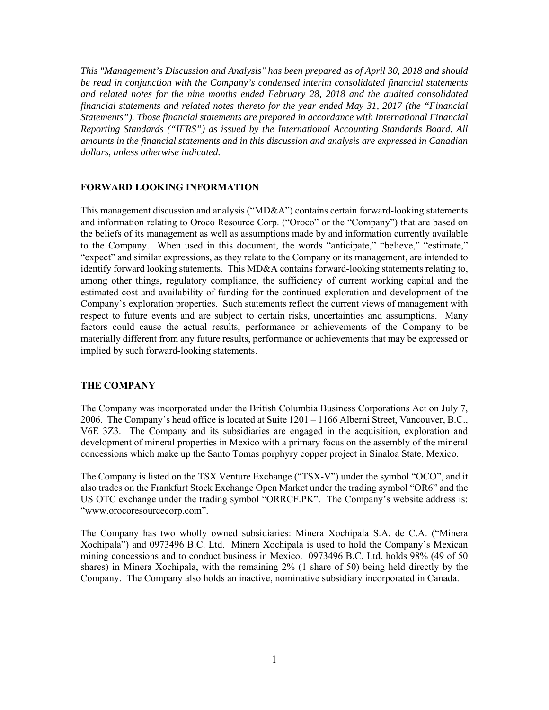*This "Management's Discussion and Analysis" has been prepared as of April 30, 2018 and should be read in conjunction with the Company's condensed interim consolidated financial statements and related notes for the nine months ended February 28, 2018 and the audited consolidated financial statements and related notes thereto for the year ended May 31, 2017 (the "Financial Statements"). Those financial statements are prepared in accordance with International Financial Reporting Standards ("IFRS") as issued by the International Accounting Standards Board. All amounts in the financial statements and in this discussion and analysis are expressed in Canadian dollars, unless otherwise indicated.* 

#### **FORWARD LOOKING INFORMATION**

This management discussion and analysis ("MD&A") contains certain forward-looking statements and information relating to Oroco Resource Corp. ("Oroco" or the "Company") that are based on the beliefs of its management as well as assumptions made by and information currently available to the Company. When used in this document, the words "anticipate," "believe," "estimate," "expect" and similar expressions, as they relate to the Company or its management, are intended to identify forward looking statements. This MD&A contains forward-looking statements relating to, among other things, regulatory compliance, the sufficiency of current working capital and the estimated cost and availability of funding for the continued exploration and development of the Company's exploration properties. Such statements reflect the current views of management with respect to future events and are subject to certain risks, uncertainties and assumptions. Many factors could cause the actual results, performance or achievements of the Company to be materially different from any future results, performance or achievements that may be expressed or implied by such forward-looking statements.

#### **THE COMPANY**

The Company was incorporated under the British Columbia Business Corporations Act on July 7, 2006. The Company's head office is located at Suite 1201 – 1166 Alberni Street, Vancouver, B.C., V6E 3Z3. The Company and its subsidiaries are engaged in the acquisition, exploration and development of mineral properties in Mexico with a primary focus on the assembly of the mineral concessions which make up the Santo Tomas porphyry copper project in Sinaloa State, Mexico.

The Company is listed on the TSX Venture Exchange ("TSX-V") under the symbol "OCO", and it also trades on the Frankfurt Stock Exchange Open Market under the trading symbol "OR6" and the US OTC exchange under the trading symbol "ORRCF.PK". The Company's website address is: "www.orocoresourcecorp.com".

The Company has two wholly owned subsidiaries: Minera Xochipala S.A. de C.A. ("Minera Xochipala") and 0973496 B.C. Ltd. Minera Xochipala is used to hold the Company's Mexican mining concessions and to conduct business in Mexico. 0973496 B.C. Ltd. holds 98% (49 of 50 shares) in Minera Xochipala, with the remaining 2% (1 share of 50) being held directly by the Company. The Company also holds an inactive, nominative subsidiary incorporated in Canada.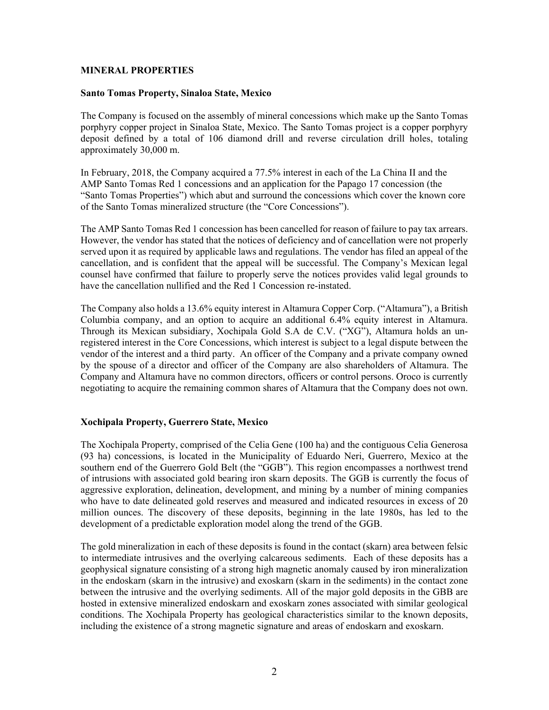### **MINERAL PROPERTIES**

# **Santo Tomas Property, Sinaloa State, Mexico**

The Company is focused on the assembly of mineral concessions which make up the Santo Tomas porphyry copper project in Sinaloa State, Mexico. The Santo Tomas project is a copper porphyry deposit defined by a total of 106 diamond drill and reverse circulation drill holes, totaling approximately 30,000 m.

In February, 2018, the Company acquired a 77.5% interest in each of the La China II and the AMP Santo Tomas Red 1 concessions and an application for the Papago 17 concession (the "Santo Tomas Properties") which abut and surround the concessions which cover the known core of the Santo Tomas mineralized structure (the "Core Concessions").

The AMP Santo Tomas Red 1 concession has been cancelled for reason of failure to pay tax arrears. However, the vendor has stated that the notices of deficiency and of cancellation were not properly served upon it as required by applicable laws and regulations. The vendor has filed an appeal of the cancellation, and is confident that the appeal will be successful. The Company's Mexican legal counsel have confirmed that failure to properly serve the notices provides valid legal grounds to have the cancellation nullified and the Red 1 Concession re-instated.

The Company also holds a 13.6% equity interest in Altamura Copper Corp. ("Altamura"), a British Columbia company, and an option to acquire an additional 6.4% equity interest in Altamura. Through its Mexican subsidiary, Xochipala Gold S.A de C.V. ("XG"), Altamura holds an unregistered interest in the Core Concessions, which interest is subject to a legal dispute between the vendor of the interest and a third party. An officer of the Company and a private company owned by the spouse of a director and officer of the Company are also shareholders of Altamura. The Company and Altamura have no common directors, officers or control persons. Oroco is currently negotiating to acquire the remaining common shares of Altamura that the Company does not own.

## **Xochipala Property, Guerrero State, Mexico**

The Xochipala Property, comprised of the Celia Gene (100 ha) and the contiguous Celia Generosa (93 ha) concessions, is located in the Municipality of Eduardo Neri, Guerrero, Mexico at the southern end of the Guerrero Gold Belt (the "GGB"). This region encompasses a northwest trend of intrusions with associated gold bearing iron skarn deposits. The GGB is currently the focus of aggressive exploration, delineation, development, and mining by a number of mining companies who have to date delineated gold reserves and measured and indicated resources in excess of 20 million ounces. The discovery of these deposits, beginning in the late 1980s, has led to the development of a predictable exploration model along the trend of the GGB.

The gold mineralization in each of these deposits is found in the contact (skarn) area between felsic to intermediate intrusives and the overlying calcareous sediments. Each of these deposits has a geophysical signature consisting of a strong high magnetic anomaly caused by iron mineralization in the endoskarn (skarn in the intrusive) and exoskarn (skarn in the sediments) in the contact zone between the intrusive and the overlying sediments. All of the major gold deposits in the GBB are hosted in extensive mineralized endoskarn and exoskarn zones associated with similar geological conditions. The Xochipala Property has geological characteristics similar to the known deposits, including the existence of a strong magnetic signature and areas of endoskarn and exoskarn.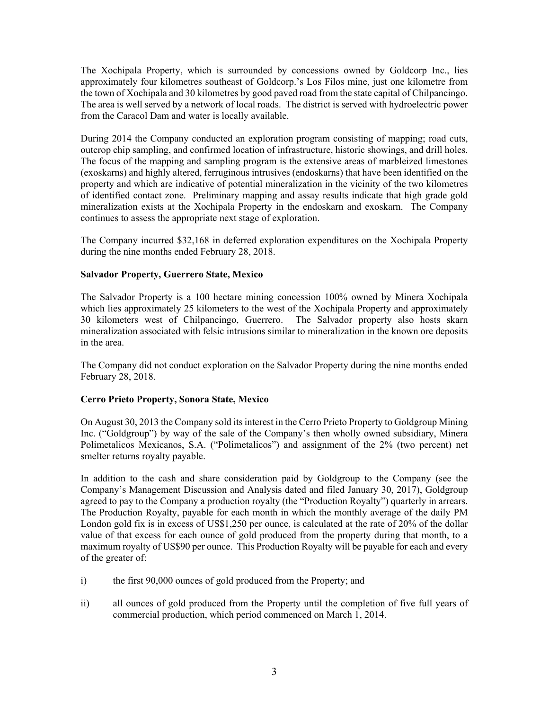The Xochipala Property, which is surrounded by concessions owned by Goldcorp Inc., lies approximately four kilometres southeast of Goldcorp.'s Los Filos mine, just one kilometre from the town of Xochipala and 30 kilometres by good paved road from the state capital of Chilpancingo. The area is well served by a network of local roads. The district is served with hydroelectric power from the Caracol Dam and water is locally available.

During 2014 the Company conducted an exploration program consisting of mapping; road cuts, outcrop chip sampling, and confirmed location of infrastructure, historic showings, and drill holes. The focus of the mapping and sampling program is the extensive areas of marbleized limestones (exoskarns) and highly altered, ferruginous intrusives (endoskarns) that have been identified on the property and which are indicative of potential mineralization in the vicinity of the two kilometres of identified contact zone. Preliminary mapping and assay results indicate that high grade gold mineralization exists at the Xochipala Property in the endoskarn and exoskarn. The Company continues to assess the appropriate next stage of exploration.

The Company incurred \$32,168 in deferred exploration expenditures on the Xochipala Property during the nine months ended February 28, 2018.

# **Salvador Property, Guerrero State, Mexico**

The Salvador Property is a 100 hectare mining concession 100% owned by Minera Xochipala which lies approximately 25 kilometers to the west of the Xochipala Property and approximately 30 kilometers west of Chilpancingo, Guerrero. The Salvador property also hosts skarn mineralization associated with felsic intrusions similar to mineralization in the known ore deposits in the area.

The Company did not conduct exploration on the Salvador Property during the nine months ended February 28, 2018.

## **Cerro Prieto Property, Sonora State, Mexico**

On August 30, 2013 the Company sold its interest in the Cerro Prieto Property to Goldgroup Mining Inc. ("Goldgroup") by way of the sale of the Company's then wholly owned subsidiary, Minera Polimetalicos Mexicanos, S.A. ("Polimetalicos") and assignment of the 2% (two percent) net smelter returns royalty payable.

In addition to the cash and share consideration paid by Goldgroup to the Company (see the Company's Management Discussion and Analysis dated and filed January 30, 2017), Goldgroup agreed to pay to the Company a production royalty (the "Production Royalty") quarterly in arrears. The Production Royalty, payable for each month in which the monthly average of the daily PM London gold fix is in excess of US\$1,250 per ounce, is calculated at the rate of 20% of the dollar value of that excess for each ounce of gold produced from the property during that month, to a maximum royalty of US\$90 per ounce. This Production Royalty will be payable for each and every of the greater of:

- i) the first 90,000 ounces of gold produced from the Property; and
- ii) all ounces of gold produced from the Property until the completion of five full years of commercial production, which period commenced on March 1, 2014.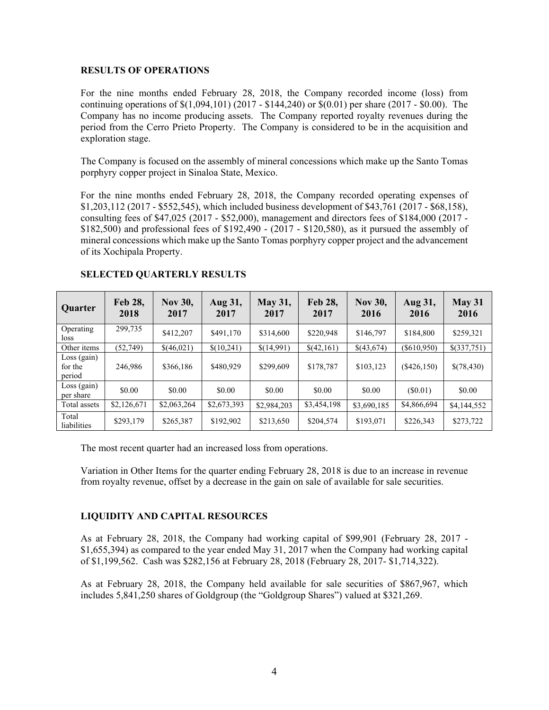### **RESULTS OF OPERATIONS**

For the nine months ended February 28, 2018, the Company recorded income (loss) from continuing operations of \$(1,094,101) (2017 - \$144,240) or \$(0.01) per share (2017 - \$0.00). The Company has no income producing assets. The Company reported royalty revenues during the period from the Cerro Prieto Property. The Company is considered to be in the acquisition and exploration stage.

The Company is focused on the assembly of mineral concessions which make up the Santo Tomas porphyry copper project in Sinaloa State, Mexico.

For the nine months ended February 28, 2018, the Company recorded operating expenses of \$1,203,112 (2017 - \$552,545), which included business development of \$43,761 (2017 - \$68,158), consulting fees of \$47,025 (2017 - \$52,000), management and directors fees of \$184,000 (2017 - \$182,500) and professional fees of \$192,490 - (2017 - \$120,580), as it pursued the assembly of mineral concessions which make up the Santo Tomas porphyry copper project and the advancement of its Xochipala Property.

| <b>Quarter</b>                     | Feb 28,<br>2018 | <b>Nov 30,</b><br>2017 | Aug 31,<br>2017 | <b>May 31,</b><br>2017 | Feb 28,<br>2017 | <b>Nov 30,</b><br>2016 | Aug 31,<br>2016 | <b>May 31</b><br>2016 |
|------------------------------------|-----------------|------------------------|-----------------|------------------------|-----------------|------------------------|-----------------|-----------------------|
| Operating<br>loss                  | 299,735         | \$412,207              | \$491,170       | \$314,600              | \$220,948       | \$146,797              | \$184,800       | \$259,321             |
| Other items                        | (52, 749)       | \$(46,021)             | \$(10,241)      | \$(14,991)             | \$(42,161)      | \$(43,674)             | $($ \$610,950)  | \$(337,751)           |
| $Loss$ (gain)<br>for the<br>period | 246,986         | \$366,186              | \$480,929       | \$299,609              | \$178,787       | \$103,123              | $(\$426,150)$   | \$(78,430)            |
| $Loss$ (gain)<br>per share         | \$0.00          | \$0.00                 | \$0.00          | \$0.00                 | \$0.00          | \$0.00                 | (S0.01)         | \$0.00                |
| Total assets                       | \$2,126,671     | \$2,063,264            | \$2,673,393     | \$2,984,203            | \$3,454,198     | \$3,690,185            | \$4,866,694     | \$4,144,552           |
| Total<br>liabilities               | \$293,179       | \$265,387              | \$192,902       | \$213,650              | \$204,574       | \$193,071              | \$226,343       | \$273,722             |

## **SELECTED QUARTERLY RESULTS**

The most recent quarter had an increased loss from operations.

Variation in Other Items for the quarter ending February 28, 2018 is due to an increase in revenue from royalty revenue, offset by a decrease in the gain on sale of available for sale securities.

## **LIQUIDITY AND CAPITAL RESOURCES**

As at February 28, 2018, the Company had working capital of \$99,901 (February 28, 2017 - \$1,655,394) as compared to the year ended May 31, 2017 when the Company had working capital of \$1,199,562. Cash was \$282,156 at February 28, 2018 (February 28, 2017- \$1,714,322).

As at February 28, 2018, the Company held available for sale securities of \$867,967, which includes 5,841,250 shares of Goldgroup (the "Goldgroup Shares") valued at \$321,269.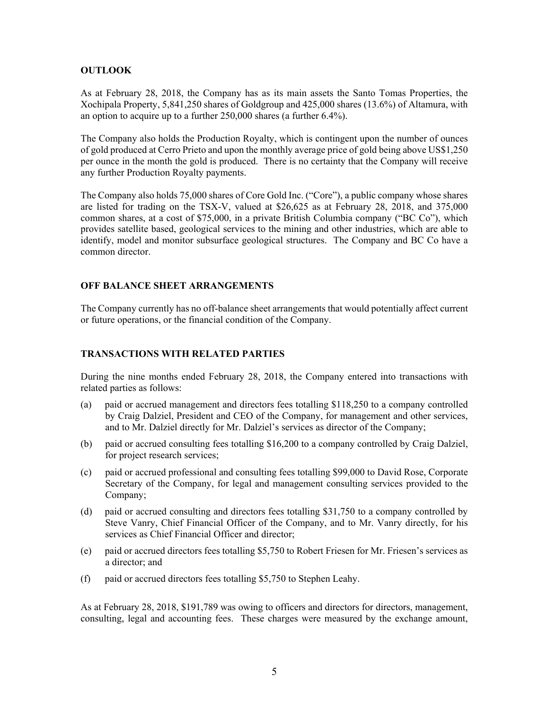## **OUTLOOK**

As at February 28, 2018, the Company has as its main assets the Santo Tomas Properties, the Xochipala Property, 5,841,250 shares of Goldgroup and 425,000 shares (13.6%) of Altamura, with an option to acquire up to a further 250,000 shares (a further 6.4%).

The Company also holds the Production Royalty, which is contingent upon the number of ounces of gold produced at Cerro Prieto and upon the monthly average price of gold being above US\$1,250 per ounce in the month the gold is produced. There is no certainty that the Company will receive any further Production Royalty payments.

The Company also holds 75,000 shares of Core Gold Inc. ("Core"), a public company whose shares are listed for trading on the TSX-V, valued at \$26,625 as at February 28, 2018, and 375,000 common shares, at a cost of \$75,000, in a private British Columbia company ("BC Co"), which provides satellite based, geological services to the mining and other industries, which are able to identify, model and monitor subsurface geological structures. The Company and BC Co have a common director.

## **OFF BALANCE SHEET ARRANGEMENTS**

The Company currently has no off-balance sheet arrangements that would potentially affect current or future operations, or the financial condition of the Company.

### **TRANSACTIONS WITH RELATED PARTIES**

During the nine months ended February 28, 2018, the Company entered into transactions with related parties as follows:

- (a) paid or accrued management and directors fees totalling \$118,250 to a company controlled by Craig Dalziel, President and CEO of the Company, for management and other services, and to Mr. Dalziel directly for Mr. Dalziel's services as director of the Company;
- (b) paid or accrued consulting fees totalling \$16,200 to a company controlled by Craig Dalziel, for project research services;
- (c) paid or accrued professional and consulting fees totalling \$99,000 to David Rose, Corporate Secretary of the Company, for legal and management consulting services provided to the Company;
- (d) paid or accrued consulting and directors fees totalling \$31,750 to a company controlled by Steve Vanry, Chief Financial Officer of the Company, and to Mr. Vanry directly, for his services as Chief Financial Officer and director;
- (e) paid or accrued directors fees totalling \$5,750 to Robert Friesen for Mr. Friesen's services as a director; and
- (f) paid or accrued directors fees totalling \$5,750 to Stephen Leahy.

As at February 28, 2018, \$191,789 was owing to officers and directors for directors, management, consulting, legal and accounting fees. These charges were measured by the exchange amount,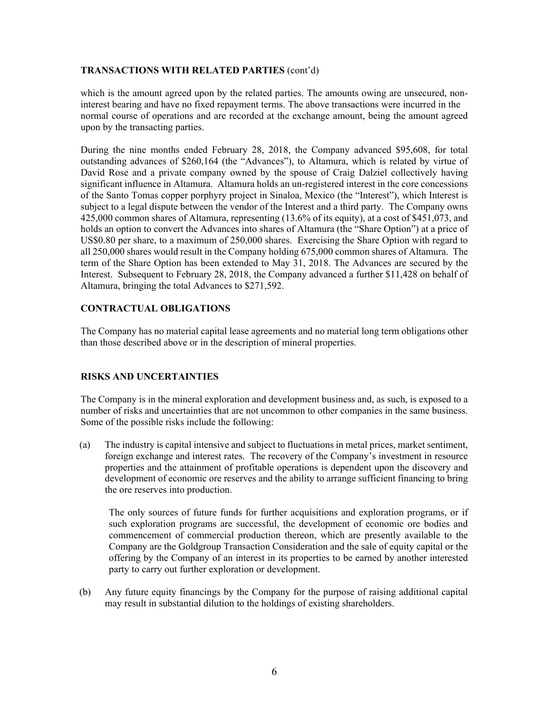## **TRANSACTIONS WITH RELATED PARTIES** (cont'd)

which is the amount agreed upon by the related parties. The amounts owing are unsecured, noninterest bearing and have no fixed repayment terms. The above transactions were incurred in the normal course of operations and are recorded at the exchange amount, being the amount agreed upon by the transacting parties.

During the nine months ended February 28, 2018, the Company advanced \$95,608, for total outstanding advances of \$260,164 (the "Advances"), to Altamura, which is related by virtue of David Rose and a private company owned by the spouse of Craig Dalziel collectively having significant influence in Altamura. Altamura holds an un-registered interest in the core concessions of the Santo Tomas copper porphyry project in Sinaloa, Mexico (the "Interest"), which Interest is subject to a legal dispute between the vendor of the Interest and a third party. The Company owns 425,000 common shares of Altamura, representing (13.6% of its equity), at a cost of \$451,073, and holds an option to convert the Advances into shares of Altamura (the "Share Option") at a price of US\$0.80 per share, to a maximum of 250,000 shares. Exercising the Share Option with regard to all 250,000 shares would result in the Company holding 675,000 common shares of Altamura. The term of the Share Option has been extended to May 31, 2018. The Advances are secured by the Interest. Subsequent to February 28, 2018, the Company advanced a further \$11,428 on behalf of Altamura, bringing the total Advances to \$271,592.

# **CONTRACTUAL OBLIGATIONS**

The Company has no material capital lease agreements and no material long term obligations other than those described above or in the description of mineral properties.

# **RISKS AND UNCERTAINTIES**

The Company is in the mineral exploration and development business and, as such, is exposed to a number of risks and uncertainties that are not uncommon to other companies in the same business. Some of the possible risks include the following:

(a) The industry is capital intensive and subject to fluctuations in metal prices, market sentiment, foreign exchange and interest rates. The recovery of the Company's investment in resource properties and the attainment of profitable operations is dependent upon the discovery and development of economic ore reserves and the ability to arrange sufficient financing to bring the ore reserves into production.

The only sources of future funds for further acquisitions and exploration programs, or if such exploration programs are successful, the development of economic ore bodies and commencement of commercial production thereon, which are presently available to the Company are the Goldgroup Transaction Consideration and the sale of equity capital or the offering by the Company of an interest in its properties to be earned by another interested party to carry out further exploration or development.

(b) Any future equity financings by the Company for the purpose of raising additional capital may result in substantial dilution to the holdings of existing shareholders.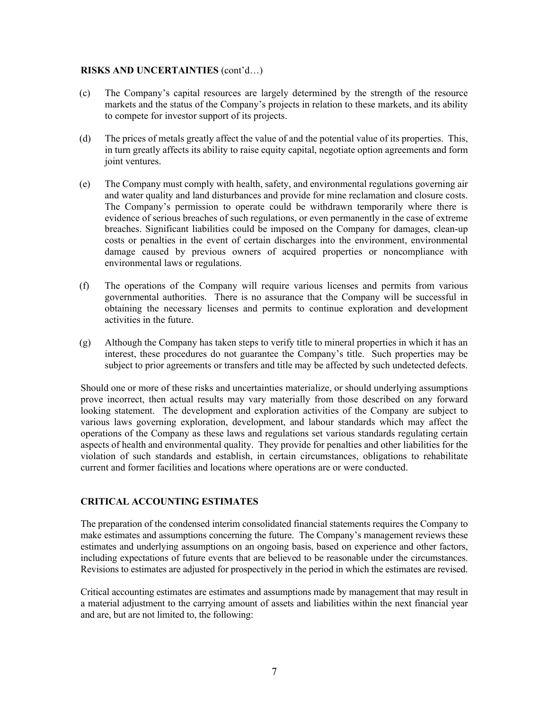### **RISKS AND UNCERTAINTIES** (cont'd…)

- (c) The Company's capital resources are largely determined by the strength of the resource markets and the status of the Company's projects in relation to these markets, and its ability to compete for investor support of its projects.
- (d) The prices of metals greatly affect the value of and the potential value of its properties. This, in turn greatly affects its ability to raise equity capital, negotiate option agreements and form joint ventures.
- (e) The Company must comply with health, safety, and environmental regulations governing air and water quality and land disturbances and provide for mine reclamation and closure costs. The Company's permission to operate could be withdrawn temporarily where there is evidence of serious breaches of such regulations, or even permanently in the case of extreme breaches. Significant liabilities could be imposed on the Company for damages, clean-up costs or penalties in the event of certain discharges into the environment, environmental damage caused by previous owners of acquired properties or noncompliance with environmental laws or regulations.
- (f) The operations of the Company will require various licenses and permits from various governmental authorities. There is no assurance that the Company will be successful in obtaining the necessary licenses and permits to continue exploration and development activities in the future.
- (g) Although the Company has taken steps to verify title to mineral properties in which it has an interest, these procedures do not guarantee the Company's title. Such properties may be subject to prior agreements or transfers and title may be affected by such undetected defects.

Should one or more of these risks and uncertainties materialize, or should underlying assumptions prove incorrect, then actual results may vary materially from those described on any forward looking statement. The development and exploration activities of the Company are subject to various laws governing exploration, development, and labour standards which may affect the operations of the Company as these laws and regulations set various standards regulating certain aspects of health and environmental quality. They provide for penalties and other liabilities for the violation of such standards and establish, in certain circumstances, obligations to rehabilitate current and former facilities and locations where operations are or were conducted.

# **CRITICAL ACCOUNTING ESTIMATES**

The preparation of the condensed interim consolidated financial statements requires the Company to make estimates and assumptions concerning the future. The Company's management reviews these estimates and underlying assumptions on an ongoing basis, based on experience and other factors, including expectations of future events that are believed to be reasonable under the circumstances. Revisions to estimates are adjusted for prospectively in the period in which the estimates are revised.

Critical accounting estimates are estimates and assumptions made by management that may result in a material adjustment to the carrying amount of assets and liabilities within the next financial year and are, but are not limited to, the following: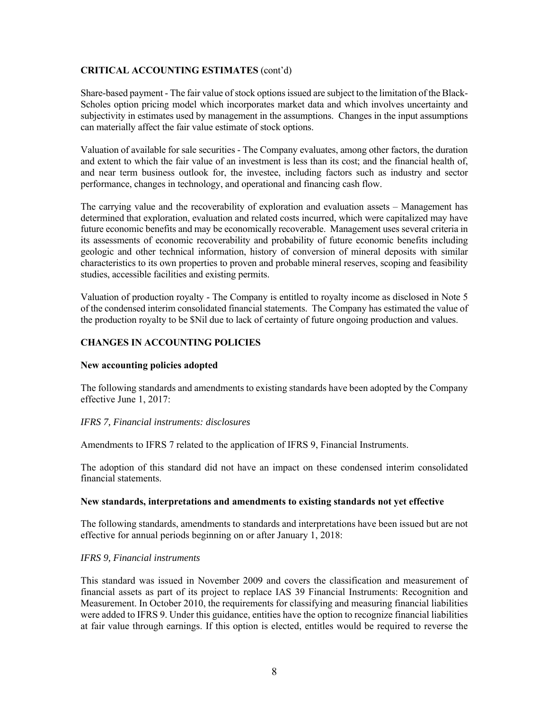## **CRITICAL ACCOUNTING ESTIMATES** (cont'd)

Share-based payment - The fair value of stock options issued are subject to the limitation of the Black-Scholes option pricing model which incorporates market data and which involves uncertainty and subjectivity in estimates used by management in the assumptions. Changes in the input assumptions can materially affect the fair value estimate of stock options.

Valuation of available for sale securities - The Company evaluates, among other factors, the duration and extent to which the fair value of an investment is less than its cost; and the financial health of, and near term business outlook for, the investee, including factors such as industry and sector performance, changes in technology, and operational and financing cash flow.

The carrying value and the recoverability of exploration and evaluation assets – Management has determined that exploration, evaluation and related costs incurred, which were capitalized may have future economic benefits and may be economically recoverable. Management uses several criteria in its assessments of economic recoverability and probability of future economic benefits including geologic and other technical information, history of conversion of mineral deposits with similar characteristics to its own properties to proven and probable mineral reserves, scoping and feasibility studies, accessible facilities and existing permits.

Valuation of production royalty - The Company is entitled to royalty income as disclosed in Note 5 of the condensed interim consolidated financial statements. The Company has estimated the value of the production royalty to be \$Nil due to lack of certainty of future ongoing production and values.

# **CHANGES IN ACCOUNTING POLICIES**

## **New accounting policies adopted**

The following standards and amendments to existing standards have been adopted by the Company effective June 1, 2017:

## *IFRS 7, Financial instruments: disclosures*

Amendments to IFRS 7 related to the application of IFRS 9, Financial Instruments.

The adoption of this standard did not have an impact on these condensed interim consolidated financial statements.

#### **New standards, interpretations and amendments to existing standards not yet effective**

The following standards, amendments to standards and interpretations have been issued but are not effective for annual periods beginning on or after January 1, 2018:

## *IFRS 9, Financial instruments*

This standard was issued in November 2009 and covers the classification and measurement of financial assets as part of its project to replace IAS 39 Financial Instruments: Recognition and Measurement. In October 2010, the requirements for classifying and measuring financial liabilities were added to IFRS 9. Under this guidance, entities have the option to recognize financial liabilities at fair value through earnings. If this option is elected, entitles would be required to reverse the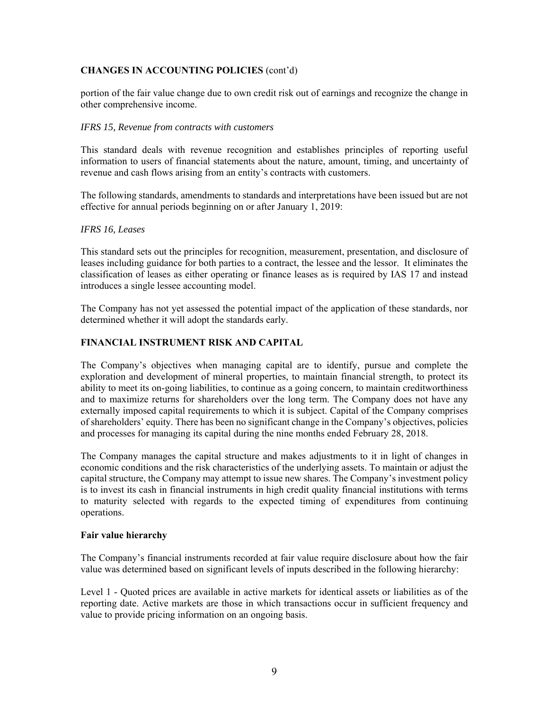# **CHANGES IN ACCOUNTING POLICIES** (cont'd)

portion of the fair value change due to own credit risk out of earnings and recognize the change in other comprehensive income.

#### *IFRS 15, Revenue from contracts with customers*

This standard deals with revenue recognition and establishes principles of reporting useful information to users of financial statements about the nature, amount, timing, and uncertainty of revenue and cash flows arising from an entity's contracts with customers.

The following standards, amendments to standards and interpretations have been issued but are not effective for annual periods beginning on or after January 1, 2019:

### *IFRS 16, Leases*

This standard sets out the principles for recognition, measurement, presentation, and disclosure of leases including guidance for both parties to a contract, the lessee and the lessor. It eliminates the classification of leases as either operating or finance leases as is required by IAS 17 and instead introduces a single lessee accounting model.

The Company has not yet assessed the potential impact of the application of these standards, nor determined whether it will adopt the standards early.

## **FINANCIAL INSTRUMENT RISK AND CAPITAL**

The Company's objectives when managing capital are to identify, pursue and complete the exploration and development of mineral properties, to maintain financial strength, to protect its ability to meet its on-going liabilities, to continue as a going concern, to maintain creditworthiness and to maximize returns for shareholders over the long term. The Company does not have any externally imposed capital requirements to which it is subject. Capital of the Company comprises of shareholders' equity. There has been no significant change in the Company's objectives, policies and processes for managing its capital during the nine months ended February 28, 2018.

The Company manages the capital structure and makes adjustments to it in light of changes in economic conditions and the risk characteristics of the underlying assets. To maintain or adjust the capital structure, the Company may attempt to issue new shares. The Company's investment policy is to invest its cash in financial instruments in high credit quality financial institutions with terms to maturity selected with regards to the expected timing of expenditures from continuing operations.

#### **Fair value hierarchy**

The Company's financial instruments recorded at fair value require disclosure about how the fair value was determined based on significant levels of inputs described in the following hierarchy:

Level 1 - Quoted prices are available in active markets for identical assets or liabilities as of the reporting date. Active markets are those in which transactions occur in sufficient frequency and value to provide pricing information on an ongoing basis.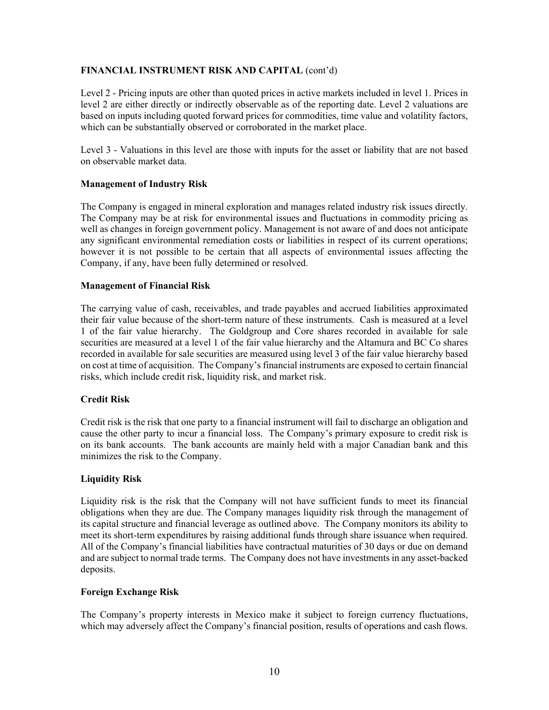# **FINANCIAL INSTRUMENT RISK AND CAPITAL** (cont'd)

Level 2 - Pricing inputs are other than quoted prices in active markets included in level 1. Prices in level 2 are either directly or indirectly observable as of the reporting date. Level 2 valuations are based on inputs including quoted forward prices for commodities, time value and volatility factors, which can be substantially observed or corroborated in the market place.

Level 3 - Valuations in this level are those with inputs for the asset or liability that are not based on observable market data.

# **Management of Industry Risk**

The Company is engaged in mineral exploration and manages related industry risk issues directly. The Company may be at risk for environmental issues and fluctuations in commodity pricing as well as changes in foreign government policy. Management is not aware of and does not anticipate any significant environmental remediation costs or liabilities in respect of its current operations; however it is not possible to be certain that all aspects of environmental issues affecting the Company, if any, have been fully determined or resolved.

# **Management of Financial Risk**

The carrying value of cash, receivables, and trade payables and accrued liabilities approximated their fair value because of the short-term nature of these instruments. Cash is measured at a level 1 of the fair value hierarchy. The Goldgroup and Core shares recorded in available for sale securities are measured at a level 1 of the fair value hierarchy and the Altamura and BC Co shares recorded in available for sale securities are measured using level 3 of the fair value hierarchy based on cost at time of acquisition. The Company's financial instruments are exposed to certain financial risks, which include credit risk, liquidity risk, and market risk.

# **Credit Risk**

Credit risk is the risk that one party to a financial instrument will fail to discharge an obligation and cause the other party to incur a financial loss. The Company's primary exposure to credit risk is on its bank accounts. The bank accounts are mainly held with a major Canadian bank and this minimizes the risk to the Company.

# **Liquidity Risk**

Liquidity risk is the risk that the Company will not have sufficient funds to meet its financial obligations when they are due. The Company manages liquidity risk through the management of its capital structure and financial leverage as outlined above. The Company monitors its ability to meet its short-term expenditures by raising additional funds through share issuance when required. All of the Company's financial liabilities have contractual maturities of 30 days or due on demand and are subject to normal trade terms. The Company does not have investments in any asset-backed deposits.

## **Foreign Exchange Risk**

The Company's property interests in Mexico make it subject to foreign currency fluctuations, which may adversely affect the Company's financial position, results of operations and cash flows.